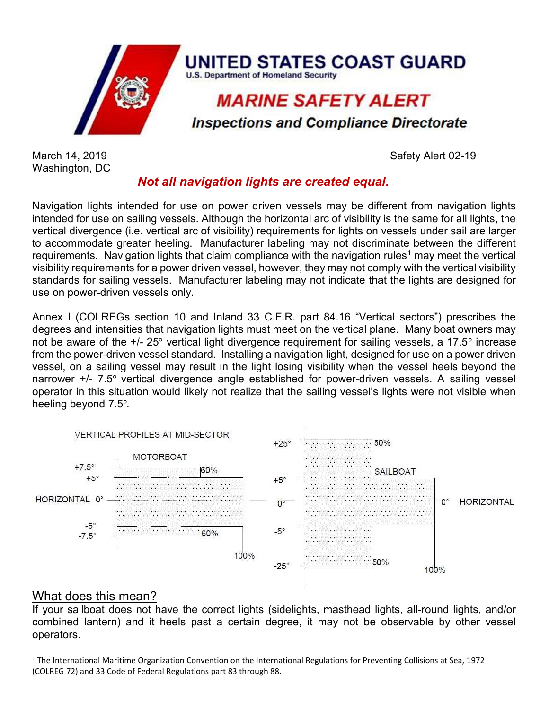

Washington, DC

March 14, 2019 **Safety Alert 02-19** 

## Not all navigation lights are created equal.

Navigation lights intended for use on power driven vessels may be different from navigation lights intended for use on sailing vessels. Although the horizontal arc of visibility is the same for all lights, the vertical divergence (i.e. vertical arc of visibility) requirements for lights on vessels under sail are larger to accommodate greater heeling. Manufacturer labeling may not discriminate between the different requirements. Navigation lights that claim compliance with the navigation rules<sup>1</sup> may meet the vertical visibility requirements for a power driven vessel, however, they may not comply with the vertical visibility standards for sailing vessels. Manufacturer labeling may not indicate that the lights are designed for use on power-driven vessels only.

Annex I (COLREGs section 10 and Inland 33 C.F.R. part 84.16 "Vertical sectors") prescribes the degrees and intensities that navigation lights must meet on the vertical plane. Many boat owners may not be aware of the +/- 25° vertical light divergence requirement for sailing vessels, a 17.5° increase from the power-driven vessel standard. Installing a navigation light, designed for use on a power driven vessel, on a sailing vessel may result in the light losing visibility when the vessel heels beyond the narrower +/- 7.5° vertical divergence angle established for power-driven vessels. A sailing vessel operator in this situation would likely not realize that the sailing vessel's lights were not visible when heeling beyond 7.5°.



## What does this mean?

If your sailboat does not have the correct lights (sidelights, masthead lights, all-round lights, and/or combined lantern) and it heels past a certain degree, it may not be observable by other vessel operators.

<sup>&</sup>lt;sup>1</sup> The International Maritime Organization Convention on the International Regulations for Preventing Collisions at Sea, 1972 (COLREG 72) and 33 Code of Federal Regulations part 83 through 88.